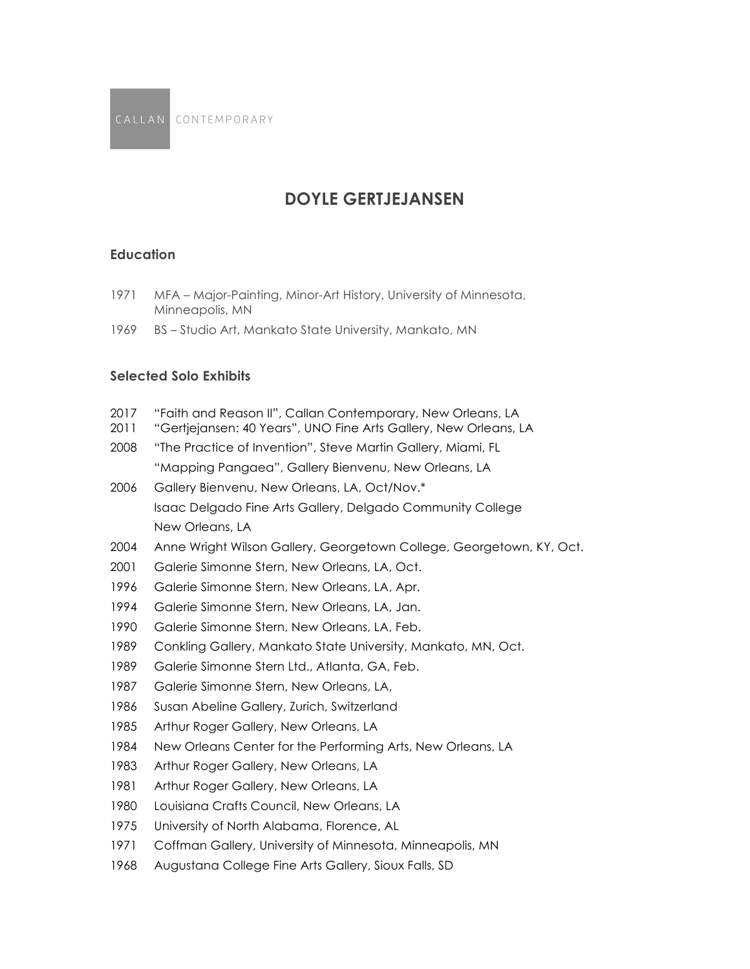# **DOYLE GERTJEJANSEN**

### **Education**

- MFA Major-Painting, Minor-Art History, University of Minnesota, Minneapolis, MN
- BS Studio Art, Mankato State University, Mankato, MN

## **Selected Solo Exhibits**

- 2017 "Faith and Reason II", Callan Contemporary, New Orleans, LA
- "Gertjejansen: 40 Years", UNO Fine Arts Gallery, New Orleans, LA
- "The Practice of Invention", Steve Martin Gallery, Miami, FL "Mapping Pangaea", Gallery Bienvenu, New Orleans, LA
- Gallery Bienvenu, New Orleans, LA, Oct/Nov.\* Isaac Delgado Fine Arts Gallery, Delgado Community College New Orleans, LA
- Anne Wright Wilson Gallery, Georgetown College, Georgetown, KY, Oct.
- Galerie Simonne Stern, New Orleans, LA, Oct.
- Galerie Simonne Stern, New Orleans, LA, Apr.
- Galerie Simonne Stern, New Orleans, LA, Jan.
- Galerie Simonne Stern, New Orleans, LA, Feb.
- Conkling Gallery, Mankato State University, Mankato, MN, Oct.
- Galerie Simonne Stern Ltd., Atlanta, GA, Feb.
- Galerie Simonne Stern, New Orleans, LA,
- Susan Abeline Gallery, Zurich, Switzerland
- Arthur Roger Gallery, New Orleans, LA
- New Orleans Center for the Performing Arts, New Orleans, LA
- Arthur Roger Gallery, New Orleans, LA
- 1981 Arthur Roger Gallery, New Orleans, LA
- Louisiana Crafts Council, New Orleans, LA
- University of North Alabama, Florence, AL
- Coffman Gallery, University of Minnesota, Minneapolis, MN
- Augustana College Fine Arts Gallery, Sioux Falls, SD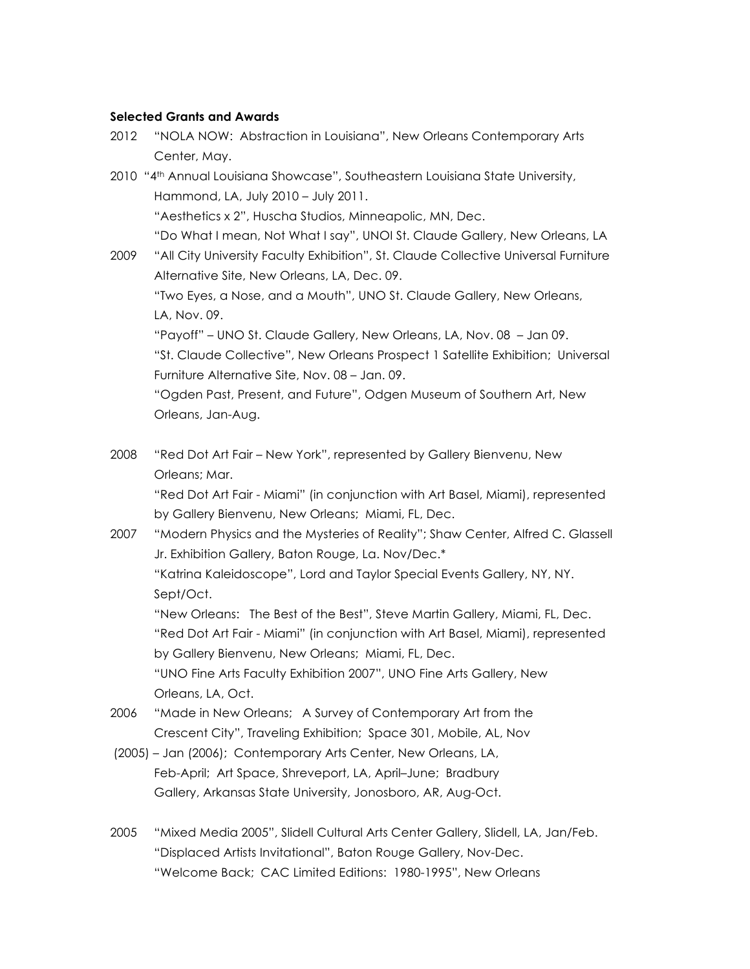### **Selected Grants and Awards**

- 2012 "NOLA NOW: Abstraction in Louisiana", New Orleans Contemporary Arts Center, May.
- 2010 "4th Annual Louisiana Showcase", Southeastern Louisiana State University, Hammond, LA, July 2010 – July 2011. "Aesthetics x 2", Huscha Studios, Minneapolic, MN, Dec. "Do What I mean, Not What I say", UNOI St. Claude Gallery, New Orleans, LA 2009 "All City University Faculty Exhibition", St. Claude Collective Universal Furniture Alternative Site, New Orleans, LA, Dec. 09.

"Two Eyes, a Nose, and a Mouth", UNO St. Claude Gallery, New Orleans, LA, Nov. 09.

"Payoff" – UNO St. Claude Gallery, New Orleans, LA, Nov. 08 – Jan 09.

"St. Claude Collective", New Orleans Prospect 1 Satellite Exhibition; Universal Furniture Alternative Site, Nov. 08 – Jan. 09.

"Ogden Past, Present, and Future", Odgen Museum of Southern Art, New Orleans, Jan-Aug.

2008 "Red Dot Art Fair – New York", represented by Gallery Bienvenu, New Orleans; Mar.

"Red Dot Art Fair - Miami" (in conjunction with Art Basel, Miami), represented by Gallery Bienvenu, New Orleans; Miami, FL, Dec.

2007 "Modern Physics and the Mysteries of Reality"; Shaw Center, Alfred C. Glassell Jr. Exhibition Gallery, Baton Rouge, La. Nov/Dec.\* "Katrina Kaleidoscope", Lord and Taylor Special Events Gallery, NY, NY. Sept/Oct.

"New Orleans: The Best of the Best", Steve Martin Gallery, Miami, FL, Dec. "Red Dot Art Fair - Miami" (in conjunction with Art Basel, Miami), represented by Gallery Bienvenu, New Orleans; Miami, FL, Dec. "UNO Fine Arts Faculty Exhibition 2007", UNO Fine Arts Gallery, New Orleans, LA, Oct.

2006 "Made in New Orleans; A Survey of Contemporary Art from the Crescent City", Traveling Exhibition; Space 301, Mobile, AL, Nov

- (2005) Jan (2006); Contemporary Arts Center, New Orleans, LA, Feb-April; Art Space, Shreveport, LA, April–June; Bradbury Gallery, Arkansas State University, Jonosboro, AR, Aug-Oct.
- 2005 "Mixed Media 2005", Slidell Cultural Arts Center Gallery, Slidell, LA, Jan/Feb. "Displaced Artists Invitational", Baton Rouge Gallery, Nov-Dec. "Welcome Back; CAC Limited Editions: 1980-1995", New Orleans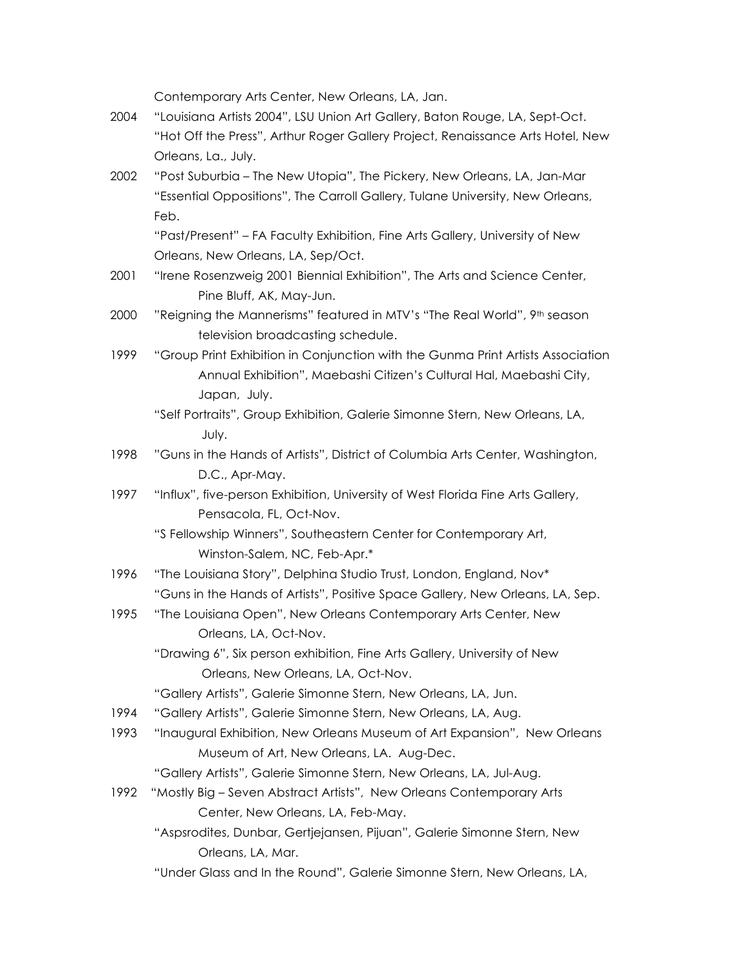Contemporary Arts Center, New Orleans, LA, Jan.

- 2004 "Louisiana Artists 2004", LSU Union Art Gallery, Baton Rouge, LA, Sept-Oct. "Hot Off the Press", Arthur Roger Gallery Project, Renaissance Arts Hotel, New Orleans, La., July.
- 2002 "Post Suburbia The New Utopia", The Pickery, New Orleans, LA, Jan-Mar "Essential Oppositions", The Carroll Gallery, Tulane University, New Orleans, Feb.

"Past/Present" – FA Faculty Exhibition, Fine Arts Gallery, University of New Orleans, New Orleans, LA, Sep/Oct.

- 2001 "Irene Rosenzweig 2001 Biennial Exhibition", The Arts and Science Center, Pine Bluff, AK, May-Jun.
- 2000 "Reigning the Mannerisms" featured in MTV's "The Real World", 9<sup>th</sup> season television broadcasting schedule.
- 1999 "Group Print Exhibition in Conjunction with the Gunma Print Artists Association Annual Exhibition", Maebashi Citizen's Cultural Hal, Maebashi City, Japan, July.
	- "Self Portraits", Group Exhibition, Galerie Simonne Stern, New Orleans, LA, July.
- 1998 "Guns in the Hands of Artists", District of Columbia Arts Center, Washington, D.C., Apr-May.
- 1997 "Influx", five-person Exhibition, University of West Florida Fine Arts Gallery, Pensacola, FL, Oct-Nov.
	- "S Fellowship Winners", Southeastern Center for Contemporary Art, Winston-Salem, NC, Feb-Apr.\*
- 1996 "The Louisiana Story", Delphina Studio Trust, London, England, Nov\* "Guns in the Hands of Artists", Positive Space Gallery, New Orleans, LA, Sep.
- 1995 "The Louisiana Open", New Orleans Contemporary Arts Center, New Orleans, LA, Oct-Nov.
	- "Drawing 6", Six person exhibition, Fine Arts Gallery, University of New Orleans, New Orleans, LA, Oct-Nov.
	- "Gallery Artists", Galerie Simonne Stern, New Orleans, LA, Jun.
- 1994 "Gallery Artists", Galerie Simonne Stern, New Orleans, LA, Aug.
- 1993 "Inaugural Exhibition, New Orleans Museum of Art Expansion", New Orleans Museum of Art, New Orleans, LA. Aug-Dec.
	- "Gallery Artists", Galerie Simonne Stern, New Orleans, LA, Jul-Aug.
- 1992 "Mostly Big Seven Abstract Artists", New Orleans Contemporary Arts Center, New Orleans, LA, Feb-May.
	- "Aspsrodites, Dunbar, Gertjejansen, Pijuan", Galerie Simonne Stern, New Orleans, LA, Mar.
	- "Under Glass and In the Round", Galerie Simonne Stern, New Orleans, LA,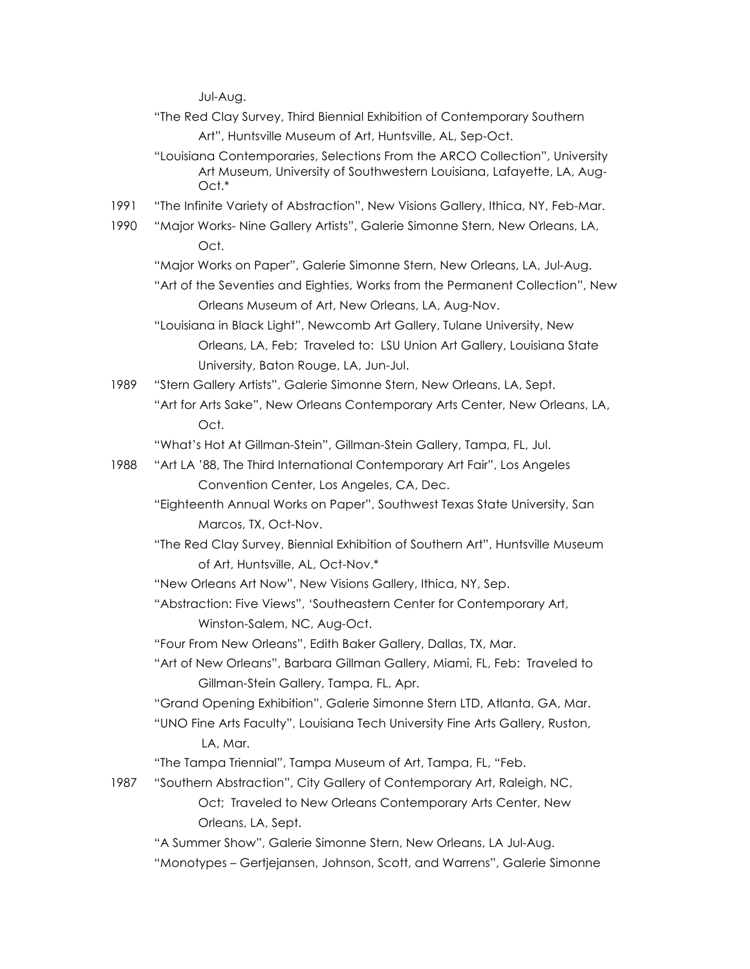Jul-Aug.

- "The Red Clay Survey, Third Biennial Exhibition of Contemporary Southern Art", Huntsville Museum of Art, Huntsville, AL, Sep-Oct.
- "Louisiana Contemporaries, Selections From the ARCO Collection", University Art Museum, University of Southwestern Louisiana, Lafayette, LA, Aug- $Oct.*$
- 1991 "The Infinite Variety of Abstraction", New Visions Gallery, Ithica, NY, Feb-Mar.
- 1990 "Major Works- Nine Gallery Artists", Galerie Simonne Stern, New Orleans, LA, Oct.

"Major Works on Paper", Galerie Simonne Stern, New Orleans, LA, Jul-Aug.

- "Art of the Seventies and Eighties, Works from the Permanent Collection", New Orleans Museum of Art, New Orleans, LA, Aug-Nov.
- "Louisiana in Black Light", Newcomb Art Gallery, Tulane University, New Orleans, LA, Feb; Traveled to: LSU Union Art Gallery, Louisiana State University, Baton Rouge, LA, Jun-Jul.
- 1989 "Stern Gallery Artists", Galerie Simonne Stern, New Orleans, LA, Sept. "Art for Arts Sake", New Orleans Contemporary Arts Center, New Orleans, LA, Oct.

"What's Hot At Gillman-Stein", Gillman-Stein Gallery, Tampa, FL, Jul.

- 1988 "Art LA '88, The Third International Contemporary Art Fair", Los Angeles Convention Center, Los Angeles, CA, Dec.
	- "Eighteenth Annual Works on Paper", Southwest Texas State University, San Marcos, TX, Oct-Nov.
	- "The Red Clay Survey, Biennial Exhibition of Southern Art", Huntsville Museum of Art, Huntsville, AL, Oct-Nov.\*
	- "New Orleans Art Now", New Visions Gallery, Ithica, NY, Sep.
	- "Abstraction: Five Views", 'Southeastern Center for Contemporary Art, Winston-Salem, NC, Aug-Oct.
	- "Four From New Orleans", Edith Baker Gallery, Dallas, TX, Mar.
	- "Art of New Orleans", Barbara Gillman Gallery, Miami, FL, Feb: Traveled to Gillman-Stein Gallery, Tampa, FL, Apr.
	- "Grand Opening Exhibition", Galerie Simonne Stern LTD, Atlanta, GA, Mar.
	- "UNO Fine Arts Faculty", Louisiana Tech University Fine Arts Gallery, Ruston, LA, Mar.

"The Tampa Triennial", Tampa Museum of Art, Tampa, FL, "Feb.

- 1987 "Southern Abstraction", City Gallery of Contemporary Art, Raleigh, NC, Oct; Traveled to New Orleans Contemporary Arts Center, New Orleans, LA, Sept.
	- "A Summer Show", Galerie Simonne Stern, New Orleans, LA Jul-Aug.
	- "Monotypes Gertjejansen, Johnson, Scott, and Warrens", Galerie Simonne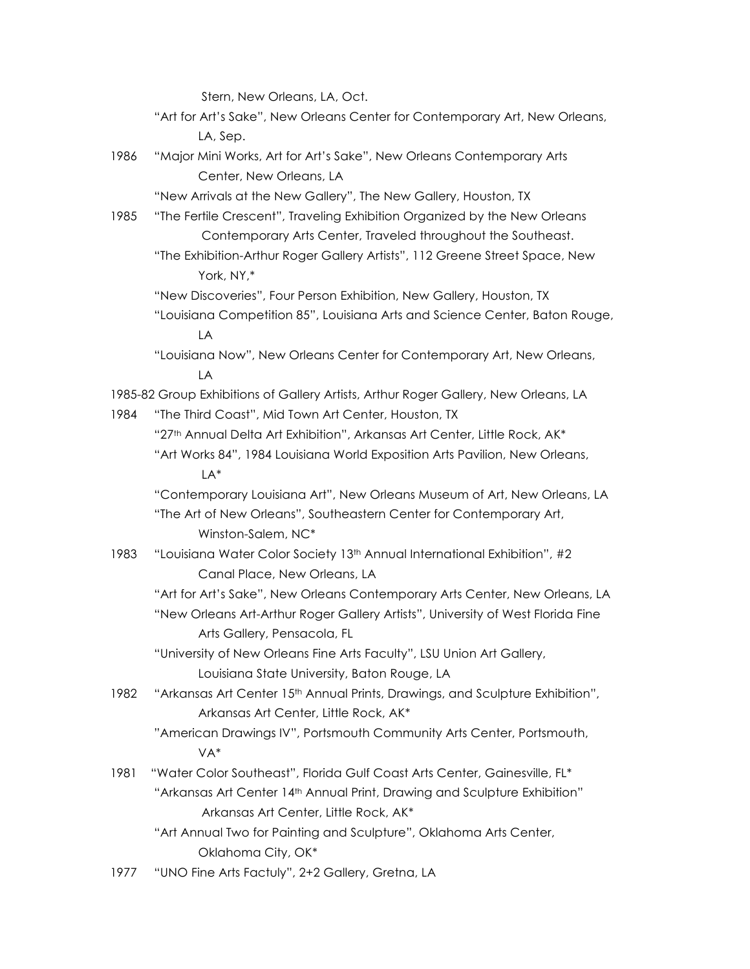Stern, New Orleans, LA, Oct.

"Art for Art's Sake", New Orleans Center for Contemporary Art, New Orleans, LA, Sep.

1986 "Major Mini Works, Art for Art's Sake", New Orleans Contemporary Arts Center, New Orleans, LA

"New Arrivals at the New Gallery", The New Gallery, Houston, TX

- 1985 "The Fertile Crescent", Traveling Exhibition Organized by the New Orleans Contemporary Arts Center, Traveled throughout the Southeast.
	- "The Exhibition-Arthur Roger Gallery Artists", 112 Greene Street Space, New York, NY,\*

"New Discoveries", Four Person Exhibition, New Gallery, Houston, TX

"Louisiana Competition 85", Louisiana Arts and Science Center, Baton Rouge, LA

"Louisiana Now", New Orleans Center for Contemporary Art, New Orleans, LA

1985-82 Group Exhibitions of Gallery Artists, Arthur Roger Gallery, New Orleans, LA

1984 "The Third Coast", Mid Town Art Center, Houston, TX

"27<sup>th</sup> Annual Delta Art Exhibition", Arkansas Art Center, Little Rock, AK\* "Art Works 84", 1984 Louisiana World Exposition Arts Pavilion, New Orleans, LA\*

"Contemporary Louisiana Art", New Orleans Museum of Art, New Orleans, LA "The Art of New Orleans", Southeastern Center for Contemporary Art, Winston-Salem, NC\*

- 1983 "Louisiana Water Color Society 13th Annual International Exhibition", #2 Canal Place, New Orleans, LA
	- "Art for Art's Sake", New Orleans Contemporary Arts Center, New Orleans, LA "New Orleans Art-Arthur Roger Gallery Artists", University of West Florida Fine Arts Gallery, Pensacola, FL

"University of New Orleans Fine Arts Faculty", LSU Union Art Gallery, Louisiana State University, Baton Rouge, LA

- 1982 "Arkansas Art Center 15<sup>th</sup> Annual Prints, Drawings, and Sculpture Exhibition", Arkansas Art Center, Little Rock, AK\*
	- "American Drawings IV", Portsmouth Community Arts Center, Portsmouth, VA\*
- 1981 "Water Color Southeast", Florida Gulf Coast Arts Center, Gainesville, FL\* "Arkansas Art Center 14<sup>th</sup> Annual Print, Drawing and Sculpture Exhibition" Arkansas Art Center, Little Rock, AK\*

"Art Annual Two for Painting and Sculpture", Oklahoma Arts Center, Oklahoma City, OK\*

1977 "UNO Fine Arts Factuly", 2+2 Gallery, Gretna, LA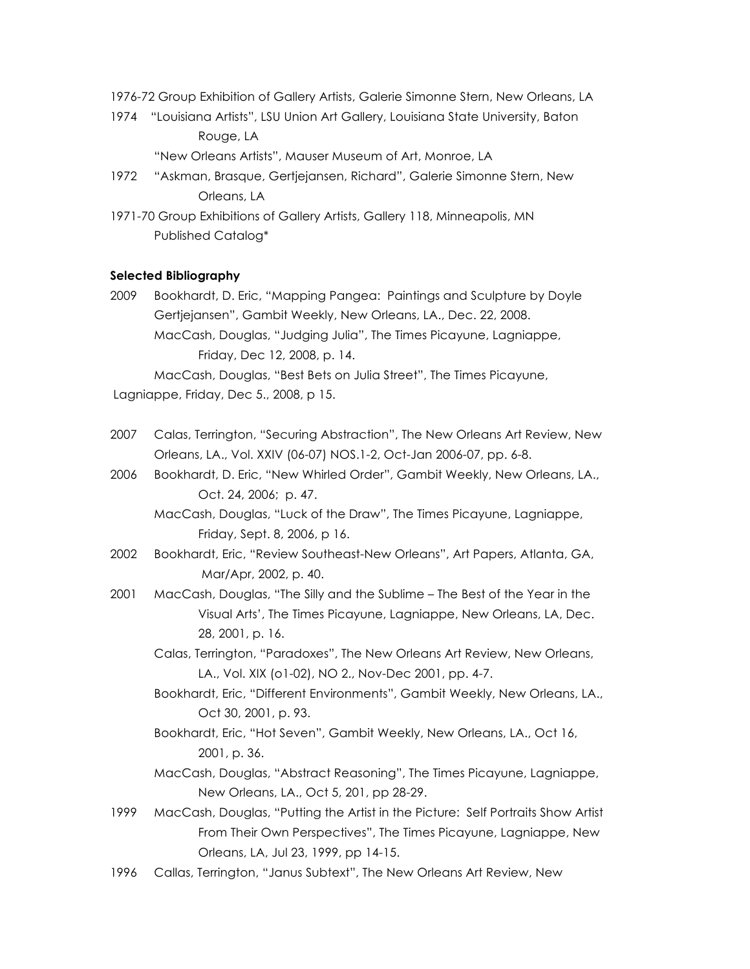- 1976-72 Group Exhibition of Gallery Artists, Galerie Simonne Stern, New Orleans, LA
- 1974 "Louisiana Artists", LSU Union Art Gallery, Louisiana State University, Baton Rouge, LA
	- "New Orleans Artists", Mauser Museum of Art, Monroe, LA
- 1972 "Askman, Brasque, Gertjejansen, Richard", Galerie Simonne Stern, New Orleans, LA
- 1971-70 Group Exhibitions of Gallery Artists, Gallery 118, Minneapolis, MN Published Catalog\*

#### **Selected Bibliography**

2009 Bookhardt, D. Eric, "Mapping Pangea: Paintings and Sculpture by Doyle Gertjejansen", Gambit Weekly, New Orleans, LA., Dec. 22, 2008. MacCash, Douglas, "Judging Julia", The Times Picayune, Lagniappe, Friday, Dec 12, 2008, p. 14.

MacCash, Douglas, "Best Bets on Julia Street", The Times Picayune, Lagniappe, Friday, Dec 5., 2008, p 15.

- 2007 Calas, Terrington, "Securing Abstraction", The New Orleans Art Review, New Orleans, LA., Vol. XXIV (06-07) NOS.1-2, Oct-Jan 2006-07, pp. 6-8.
- 2006 Bookhardt, D. Eric, "New Whirled Order", Gambit Weekly, New Orleans, LA., Oct. 24, 2006; p. 47.

MacCash, Douglas, "Luck of the Draw", The Times Picayune, Lagniappe, Friday, Sept. 8, 2006, p 16.

- 2002 Bookhardt, Eric, "Review Southeast-New Orleans", Art Papers, Atlanta, GA, Mar/Apr, 2002, p. 40.
- 2001 MacCash, Douglas, "The Silly and the Sublime The Best of the Year in the Visual Arts', The Times Picayune, Lagniappe, New Orleans, LA, Dec. 28, 2001, p. 16.
	- Calas, Terrington, "Paradoxes", The New Orleans Art Review, New Orleans, LA., Vol. XIX (o1-02), NO 2., Nov-Dec 2001, pp. 4-7.
	- Bookhardt, Eric, "Different Environments", Gambit Weekly, New Orleans, LA., Oct 30, 2001, p. 93.
	- Bookhardt, Eric, "Hot Seven", Gambit Weekly, New Orleans, LA., Oct 16, 2001, p. 36.
	- MacCash, Douglas, "Abstract Reasoning", The Times Picayune, Lagniappe, New Orleans, LA., Oct 5, 201, pp 28-29.
- 1999 MacCash, Douglas, "Putting the Artist in the Picture: Self Portraits Show Artist From Their Own Perspectives", The Times Picayune, Lagniappe, New Orleans, LA, Jul 23, 1999, pp 14-15.
- 1996 Callas, Terrington, "Janus Subtext", The New Orleans Art Review, New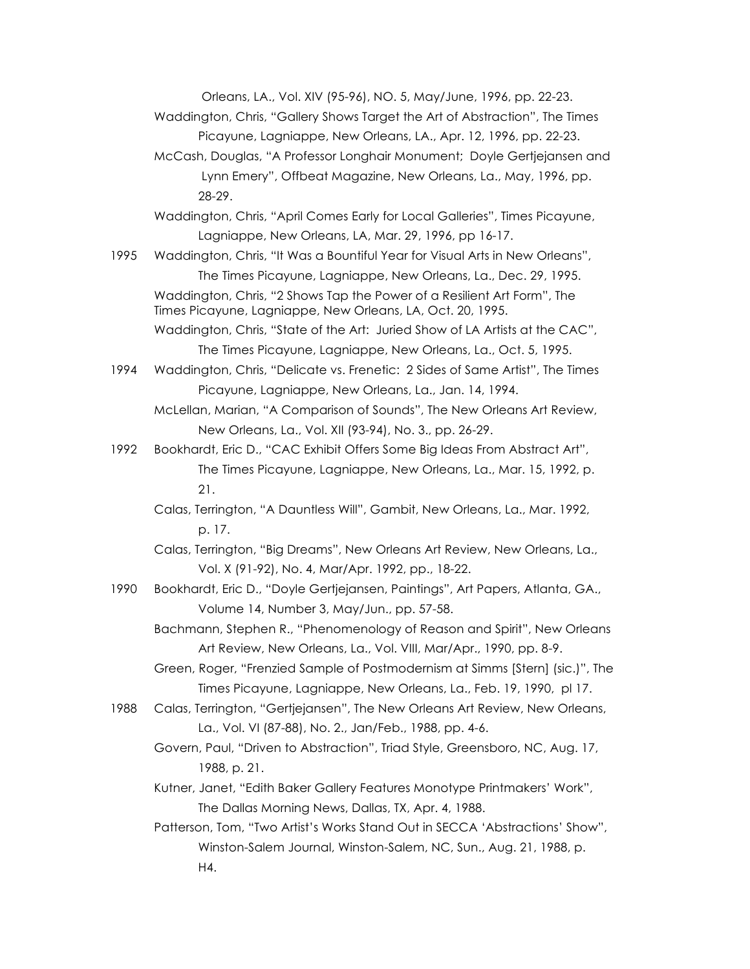Orleans, LA., Vol. XIV (95-96), NO. 5, May/June, 1996, pp. 22-23.

Waddington, Chris, "Gallery Shows Target the Art of Abstraction", The Times Picayune, Lagniappe, New Orleans, LA., Apr. 12, 1996, pp. 22-23.

McCash, Douglas, "A Professor Longhair Monument; Doyle Gertjejansen and Lynn Emery", Offbeat Magazine, New Orleans, La., May, 1996, pp. 28-29.

Waddington, Chris, "April Comes Early for Local Galleries", Times Picayune, Lagniappe, New Orleans, LA, Mar. 29, 1996, pp 16-17.

1995 Waddington, Chris, "It Was a Bountiful Year for Visual Arts in New Orleans", The Times Picayune, Lagniappe, New Orleans, La., Dec. 29, 1995. Waddington, Chris, "2 Shows Tap the Power of a Resilient Art Form", The Times Picayune, Lagniappe, New Orleans, LA, Oct. 20, 1995.

Waddington, Chris, "State of the Art: Juried Show of LA Artists at the CAC", The Times Picayune, Lagniappe, New Orleans, La., Oct. 5, 1995.

1994 Waddington, Chris, "Delicate vs. Frenetic: 2 Sides of Same Artist", The Times Picayune, Lagniappe, New Orleans, La., Jan. 14, 1994.

McLellan, Marian, "A Comparison of Sounds", The New Orleans Art Review, New Orleans, La., Vol. XII (93-94), No. 3., pp. 26-29.

1992 Bookhardt, Eric D., "CAC Exhibit Offers Some Big Ideas From Abstract Art", The Times Picayune, Lagniappe, New Orleans, La., Mar. 15, 1992, p. 21.

Calas, Terrington, "A Dauntless Will", Gambit, New Orleans, La., Mar. 1992, p. 17.

Calas, Terrington, "Big Dreams", New Orleans Art Review, New Orleans, La., Vol. X (91-92), No. 4, Mar/Apr. 1992, pp., 18-22.

1990 Bookhardt, Eric D., "Doyle Gertjejansen, Paintings", Art Papers, Atlanta, GA., Volume 14, Number 3, May/Jun., pp. 57-58.

Bachmann, Stephen R., "Phenomenology of Reason and Spirit", New Orleans Art Review, New Orleans, La., Vol. VIII, Mar/Apr., 1990, pp. 8-9.

Green, Roger, "Frenzied Sample of Postmodernism at Simms [Stern] (sic.)", The Times Picayune, Lagniappe, New Orleans, La., Feb. 19, 1990, pl 17.

1988 Calas, Terrington, "Gertjejansen", The New Orleans Art Review, New Orleans, La., Vol. VI (87-88), No. 2., Jan/Feb., 1988, pp. 4-6.

Govern, Paul, "Driven to Abstraction", Triad Style, Greensboro, NC, Aug. 17, 1988, p. 21.

Kutner, Janet, "Edith Baker Gallery Features Monotype Printmakers' Work", The Dallas Morning News, Dallas, TX, Apr. 4, 1988.

Patterson, Tom, "Two Artist's Works Stand Out in SECCA 'Abstractions' Show", Winston-Salem Journal, Winston-Salem, NC, Sun., Aug. 21, 1988, p. H4.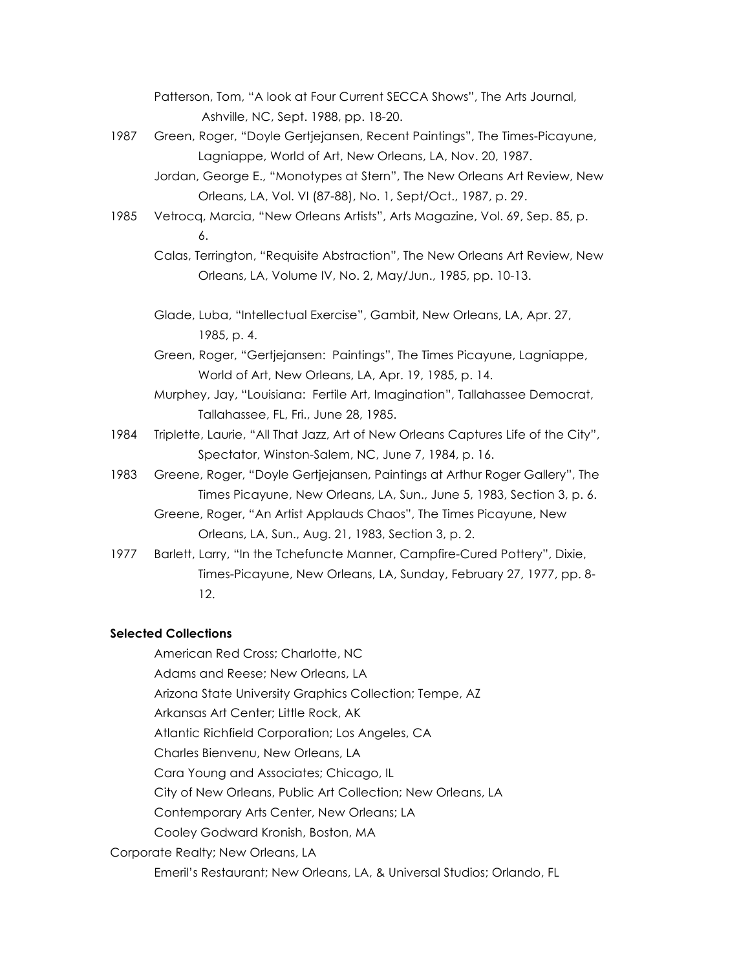Patterson, Tom, "A look at Four Current SECCA Shows", The Arts Journal, Ashville, NC, Sept. 1988, pp. 18-20.

- 1987 Green, Roger, "Doyle Gertjejansen, Recent Paintings", The Times-Picayune, Lagniappe, World of Art, New Orleans, LA, Nov. 20, 1987.
	- Jordan, George E., "Monotypes at Stern", The New Orleans Art Review, New Orleans, LA, Vol. VI (87-88), No. 1, Sept/Oct., 1987, p. 29.
- 1985 Vetrocq, Marcia, "New Orleans Artists", Arts Magazine, Vol. 69, Sep. 85, p. 6.
	- Calas, Terrington, "Requisite Abstraction", The New Orleans Art Review, New Orleans, LA, Volume IV, No. 2, May/Jun., 1985, pp. 10-13.
	- Glade, Luba, "Intellectual Exercise", Gambit, New Orleans, LA, Apr. 27, 1985, p. 4.

Green, Roger, "Gertjejansen: Paintings", The Times Picayune, Lagniappe, World of Art, New Orleans, LA, Apr. 19, 1985, p. 14.

- Murphey, Jay, "Louisiana: Fertile Art, Imagination", Tallahassee Democrat, Tallahassee, FL, Fri., June 28, 1985.
- 1984 Triplette, Laurie, "All That Jazz, Art of New Orleans Captures Life of the City", Spectator, Winston-Salem, NC, June 7, 1984, p. 16.
- 1983 Greene, Roger, "Doyle Gertjejansen, Paintings at Arthur Roger Gallery", The Times Picayune, New Orleans, LA, Sun., June 5, 1983, Section 3, p. 6.

Greene, Roger, "An Artist Applauds Chaos", The Times Picayune, New Orleans, LA, Sun., Aug. 21, 1983, Section 3, p. 2.

1977 Barlett, Larry, "In the Tchefuncte Manner, Campfire-Cured Pottery", Dixie, Times-Picayune, New Orleans, LA, Sunday, February 27, 1977, pp. 8- 12.

#### **Selected Collections**

American Red Cross; Charlotte, NC

Adams and Reese; New Orleans, LA

Arizona State University Graphics Collection; Tempe, AZ

Arkansas Art Center; Little Rock, AK

Atlantic Richfield Corporation; Los Angeles, CA

Charles Bienvenu, New Orleans, LA

Cara Young and Associates; Chicago, IL

City of New Orleans, Public Art Collection; New Orleans, LA

Contemporary Arts Center, New Orleans; LA

- Cooley Godward Kronish, Boston, MA
- Corporate Realty; New Orleans, LA

Emeril's Restaurant; New Orleans, LA, & Universal Studios; Orlando, FL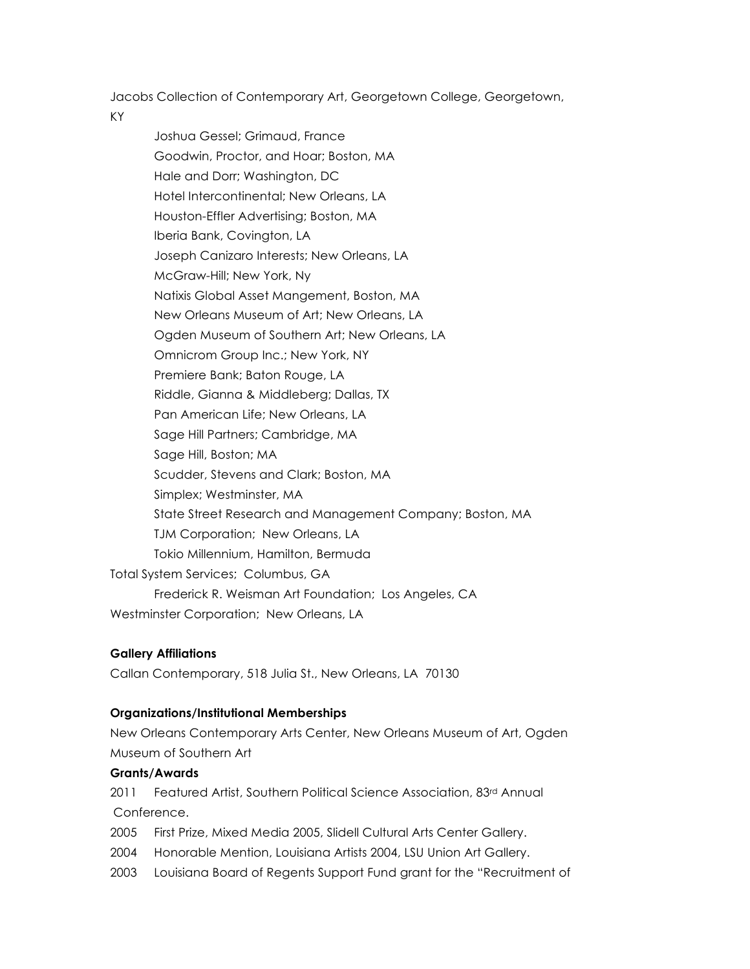Jacobs Collection of Contemporary Art, Georgetown College, Georgetown,

KY

Joshua Gessel; Grimaud, France Goodwin, Proctor, and Hoar; Boston, MA Hale and Dorr; Washington, DC Hotel Intercontinental; New Orleans, LA Houston-Effler Advertising; Boston, MA Iberia Bank, Covington, LA Joseph Canizaro Interests; New Orleans, LA McGraw-Hill; New York, Ny Natixis Global Asset Mangement, Boston, MA New Orleans Museum of Art; New Orleans, LA Ogden Museum of Southern Art; New Orleans, LA Omnicrom Group Inc.; New York, NY Premiere Bank; Baton Rouge, LA Riddle, Gianna & Middleberg; Dallas, TX Pan American Life; New Orleans, LA Sage Hill Partners; Cambridge, MA Sage Hill, Boston; MA Scudder, Stevens and Clark; Boston, MA Simplex; Westminster, MA State Street Research and Management Company; Boston, MA TJM Corporation; New Orleans, LA Tokio Millennium, Hamilton, Bermuda Total System Services; Columbus, GA Frederick R. Weisman Art Foundation; Los Angeles, CA Westminster Corporation; New Orleans, LA

# **Gallery Affiliations**

Callan Contemporary, 518 Julia St., New Orleans, LA 70130

# **Organizations/Institutional Memberships**

New Orleans Contemporary Arts Center, New Orleans Museum of Art, Ogden Museum of Southern Art

### **Grants/Awards**

2011 Featured Artist, Southern Political Science Association, 83rd Annual Conference.

- 2005 First Prize, Mixed Media 2005, Slidell Cultural Arts Center Gallery.
- 2004 Honorable Mention, Louisiana Artists 2004, LSU Union Art Gallery.
- 2003 Louisiana Board of Regents Support Fund grant for the "Recruitment of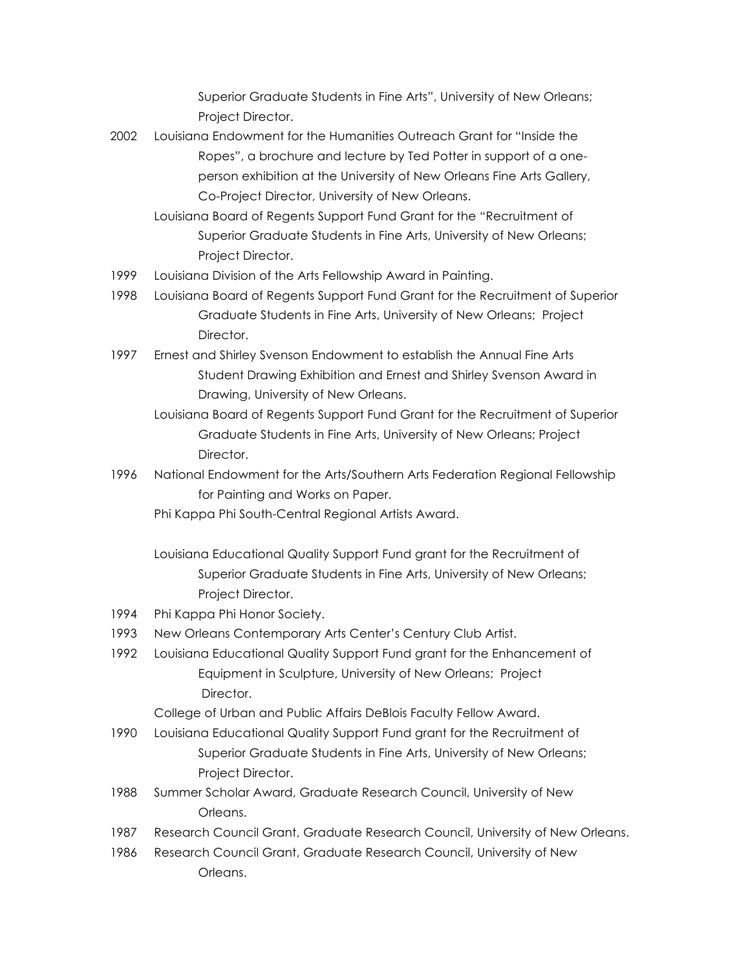Superior Graduate Students in Fine Arts", University of New Orleans; Project Director.

- 2002 Louisiana Endowment for the Humanities Outreach Grant for "Inside the Ropes", a brochure and lecture by Ted Potter in support of a oneperson exhibition at the University of New Orleans Fine Arts Gallery, Co-Project Director, University of New Orleans.
	- Louisiana Board of Regents Support Fund Grant for the "Recruitment of Superior Graduate Students in Fine Arts, University of New Orleans; Project Director.
- 1999 Louisiana Division of the Arts Fellowship Award in Painting.
- 1998 Louisiana Board of Regents Support Fund Grant for the Recruitment of Superior Graduate Students in Fine Arts, University of New Orleans; Project Director.
- 1997 Ernest and Shirley Svenson Endowment to establish the Annual Fine Arts Student Drawing Exhibition and Ernest and Shirley Svenson Award in Drawing, University of New Orleans.
	- Louisiana Board of Regents Support Fund Grant for the Recruitment of Superior Graduate Students in Fine Arts, University of New Orleans; Project Director.
- 1996 National Endowment for the Arts/Southern Arts Federation Regional Fellowship for Painting and Works on Paper.

Phi Kappa Phi South-Central Regional Artists Award.

- Louisiana Educational Quality Support Fund grant for the Recruitment of Superior Graduate Students in Fine Arts, University of New Orleans; Project Director.
- 1994 Phi Kappa Phi Honor Society.
- 1993 New Orleans Contemporary Arts Center's Century Club Artist.
- 1992 Louisiana Educational Quality Support Fund grant for the Enhancement of Equipment in Sculpture, University of New Orleans; Project Director.

College of Urban and Public Affairs DeBlois Faculty Fellow Award.

- 1990 Louisiana Educational Quality Support Fund grant for the Recruitment of Superior Graduate Students in Fine Arts, University of New Orleans; Project Director.
- 1988 Summer Scholar Award, Graduate Research Council, University of New **Orleans**
- 1987 Research Council Grant, Graduate Research Council, University of New Orleans.
- 1986 Research Council Grant, Graduate Research Council, University of New **Orleans**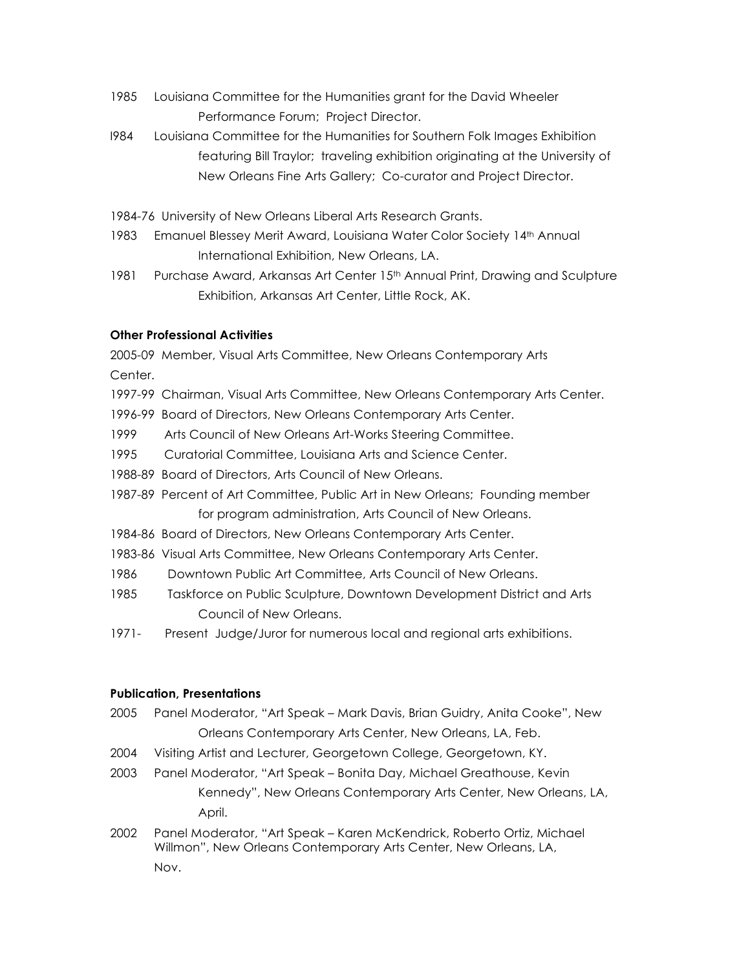- 1985 Louisiana Committee for the Humanities grant for the David Wheeler Performance Forum; Project Director.
- I984 Louisiana Committee for the Humanities for Southern Folk Images Exhibition featuring Bill Traylor; traveling exhibition originating at the University of New Orleans Fine Arts Gallery; Co-curator and Project Director.
- 1984-76 University of New Orleans Liberal Arts Research Grants.
- 1983 Emanuel Blessey Merit Award, Louisiana Water Color Society 14th Annual International Exhibition, New Orleans, LA.
- 1981 Purchase Award, Arkansas Art Center 15<sup>th</sup> Annual Print, Drawing and Sculpture Exhibition, Arkansas Art Center, Little Rock, AK.

### **Other Professional Activities**

2005-09 Member, Visual Arts Committee, New Orleans Contemporary Arts Center.

- 1997-99 Chairman, Visual Arts Committee, New Orleans Contemporary Arts Center.
- 1996-99 Board of Directors, New Orleans Contemporary Arts Center.
- 1999 Arts Council of New Orleans Art-Works Steering Committee.
- 1995 Curatorial Committee, Louisiana Arts and Science Center.
- 1988-89 Board of Directors, Arts Council of New Orleans.
- 1987-89 Percent of Art Committee, Public Art in New Orleans; Founding member for program administration, Arts Council of New Orleans.
- 1984-86 Board of Directors, New Orleans Contemporary Arts Center.
- 1983-86 Visual Arts Committee, New Orleans Contemporary Arts Center.
- 1986 Downtown Public Art Committee, Arts Council of New Orleans.
- 1985 Taskforce on Public Sculpture, Downtown Development District and Arts Council of New Orleans.
- 1971- Present Judge/Juror for numerous local and regional arts exhibitions.

### **Publication, Presentations**

- 2005 Panel Moderator, "Art Speak Mark Davis, Brian Guidry, Anita Cooke", New Orleans Contemporary Arts Center, New Orleans, LA, Feb.
- 2004 Visiting Artist and Lecturer, Georgetown College, Georgetown, KY.
- 2003 Panel Moderator, "Art Speak Bonita Day, Michael Greathouse, Kevin Kennedy", New Orleans Contemporary Arts Center, New Orleans, LA, April.
- 2002 Panel Moderator, "Art Speak Karen McKendrick, Roberto Ortiz, Michael Willmon", New Orleans Contemporary Arts Center, New Orleans, LA, Nov.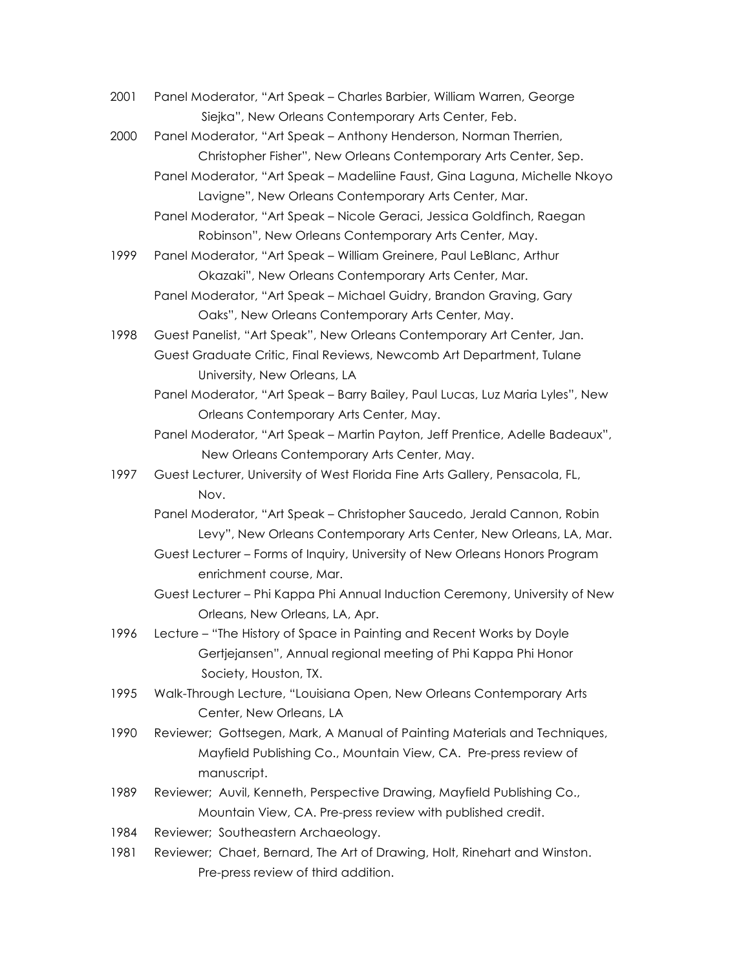- 2001 Panel Moderator, "Art Speak Charles Barbier, William Warren, George Siejka", New Orleans Contemporary Arts Center, Feb.
- 2000 Panel Moderator, "Art Speak Anthony Henderson, Norman Therrien, Christopher Fisher", New Orleans Contemporary Arts Center, Sep.
	- Panel Moderator, "Art Speak Madeliine Faust, Gina Laguna, Michelle Nkoyo Lavigne", New Orleans Contemporary Arts Center, Mar.
	- Panel Moderator, "Art Speak Nicole Geraci, Jessica Goldfinch, Raegan Robinson", New Orleans Contemporary Arts Center, May.
- 1999 Panel Moderator, "Art Speak William Greinere, Paul LeBlanc, Arthur Okazaki", New Orleans Contemporary Arts Center, Mar. Panel Moderator, "Art Speak – Michael Guidry, Brandon Graving, Gary
	- Oaks", New Orleans Contemporary Arts Center, May.
- 1998 Guest Panelist, "Art Speak", New Orleans Contemporary Art Center, Jan. Guest Graduate Critic, Final Reviews, Newcomb Art Department, Tulane University, New Orleans, LA
	- Panel Moderator, "Art Speak Barry Bailey, Paul Lucas, Luz Maria Lyles", New Orleans Contemporary Arts Center, May.
	- Panel Moderator, "Art Speak Martin Payton, Jeff Prentice, Adelle Badeaux", New Orleans Contemporary Arts Center, May.
- 1997 Guest Lecturer, University of West Florida Fine Arts Gallery, Pensacola, FL, Nov.
	- Panel Moderator, "Art Speak Christopher Saucedo, Jerald Cannon, Robin Levy", New Orleans Contemporary Arts Center, New Orleans, LA, Mar.
	- Guest Lecturer Forms of Inquiry, University of New Orleans Honors Program enrichment course, Mar.
	- Guest Lecturer Phi Kappa Phi Annual Induction Ceremony, University of New Orleans, New Orleans, LA, Apr.
- 1996 Lecture "The History of Space in Painting and Recent Works by Doyle Gertjejansen", Annual regional meeting of Phi Kappa Phi Honor Society, Houston, TX.
- 1995 Walk-Through Lecture, "Louisiana Open, New Orleans Contemporary Arts Center, New Orleans, LA
- 1990 Reviewer; Gottsegen, Mark, A Manual of Painting Materials and Techniques, Mayfield Publishing Co., Mountain View, CA. Pre-press review of manuscript.
- 1989 Reviewer; Auvil, Kenneth, Perspective Drawing, Mayfield Publishing Co., Mountain View, CA. Pre-press review with published credit.
- 1984 Reviewer; Southeastern Archaeology.
- 1981 Reviewer; Chaet, Bernard, The Art of Drawing, Holt, Rinehart and Winston. Pre-press review of third addition.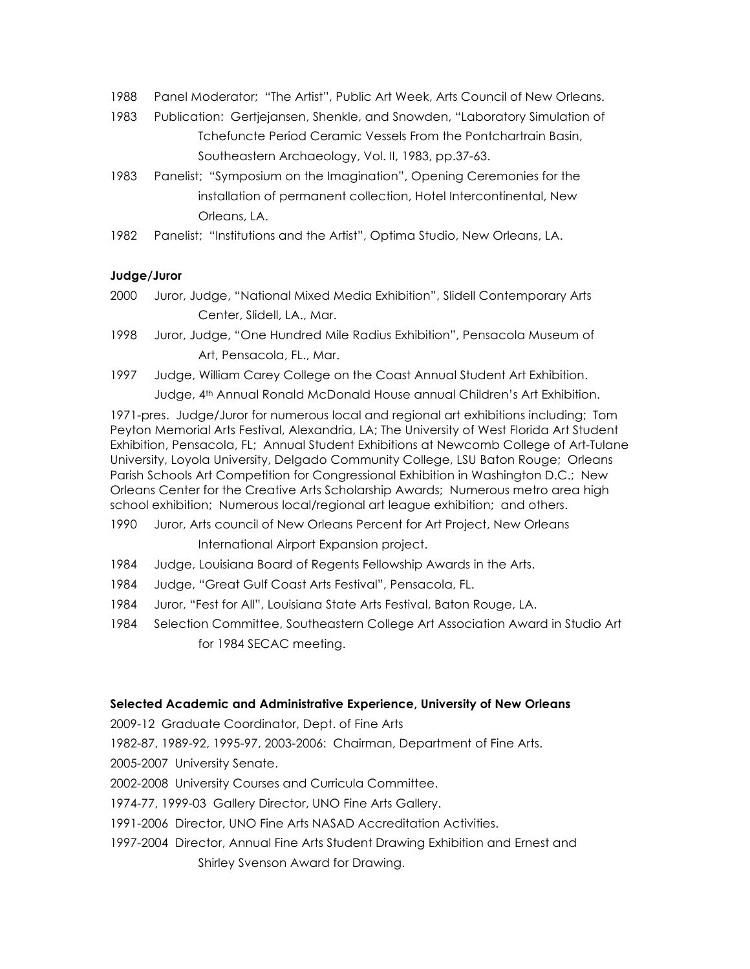- 1988 Panel Moderator; "The Artist", Public Art Week, Arts Council of New Orleans.
- 1983 Publication: Gertjejansen, Shenkle, and Snowden, "Laboratory Simulation of Tchefuncte Period Ceramic Vessels From the Pontchartrain Basin, Southeastern Archaeology, Vol. II, 1983, pp.37-63.
- 1983 Panelist; "Symposium on the Imagination", Opening Ceremonies for the installation of permanent collection, Hotel Intercontinental, New Orleans, LA.
- 1982 Panelist; "Institutions and the Artist", Optima Studio, New Orleans, LA.

### **Judge/Juror**

- 2000 Juror, Judge, "National Mixed Media Exhibition", Slidell Contemporary Arts Center, Slidell, LA., Mar.
- 1998 Juror, Judge, "One Hundred Mile Radius Exhibition", Pensacola Museum of Art, Pensacola, FL., Mar.
- 1997 Judge, William Carey College on the Coast Annual Student Art Exhibition. Judge, 4th Annual Ronald McDonald House annual Children's Art Exhibition.

1971-pres. Judge/Juror for numerous local and regional art exhibitions including; Tom Peyton Memorial Arts Festival, Alexandria, LA; The University of West Florida Art Student Exhibition, Pensacola, FL; Annual Student Exhibitions at Newcomb College of Art-Tulane University, Loyola University, Delgado Community College, LSU Baton Rouge; Orleans Parish Schools Art Competition for Congressional Exhibition in Washington D.C.; New Orleans Center for the Creative Arts Scholarship Awards; Numerous metro area high school exhibition; Numerous local/regional art league exhibition; and others.

- 1990 Juror, Arts council of New Orleans Percent for Art Project, New Orleans International Airport Expansion project.
- 1984 Judge, Louisiana Board of Regents Fellowship Awards in the Arts.
- 1984 Judge, "Great Gulf Coast Arts Festival", Pensacola, FL.
- 1984 Juror, "Fest for All", Louisiana State Arts Festival, Baton Rouge, LA.
- 1984 Selection Committee, Southeastern College Art Association Award in Studio Art for 1984 SECAC meeting.

#### **Selected Academic and Administrative Experience, University of New Orleans**

2009-12 Graduate Coordinator, Dept. of Fine Arts

1982-87, 1989-92, 1995-97, 2003-2006: Chairman, Department of Fine Arts.

- 2005-2007 University Senate.
- 2002-2008 University Courses and Curricula Committee.
- 1974-77, 1999-03 Gallery Director, UNO Fine Arts Gallery.
- 1991-2006 Director, UNO Fine Arts NASAD Accreditation Activities.
- 1997-2004 Director, Annual Fine Arts Student Drawing Exhibition and Ernest and
	- Shirley Svenson Award for Drawing.